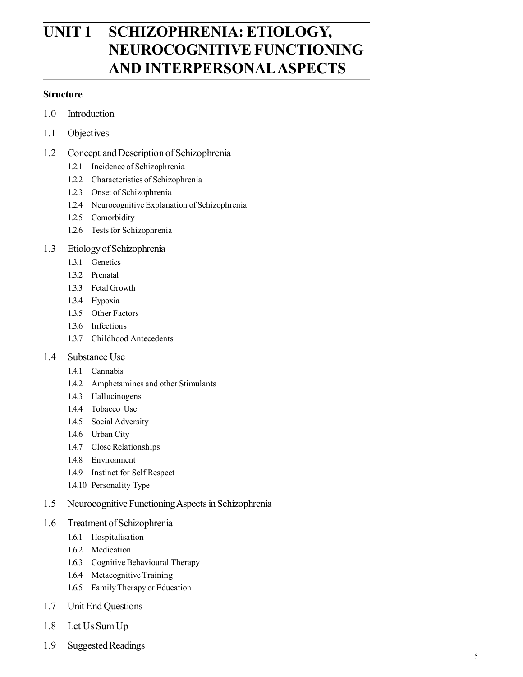# **UNIT 1 SCHIZOPHRENIA: ETIOLOGY, NEUROCOGNITIVE FUNCTIONING AND INTERPERSONALASPECTS**

#### **Structure**

- 1.0 Introduction
- 1.1 Objectives
- 1.2 Concept and Description of Schizophrenia
	- 1.2.1 Incidence of Schizophrenia
	- 1.2.2 Characteristics of Schizophrenia
	- 1.2.3 Onset of Schizophrenia
	- 1.2.4 Neurocognitive Explanation of Schizophrenia
	- 1.2.5 Comorbidity
	- 1.2.6 Tests for Schizophrenia
- 1.3 Etiology of Schizophrenia
	- 1.3.1 Genetics
	- 1.3.2 Prenatal
	- 1.3.3 Fetal Growth
	- 1.3.4 Hypoxia
	- 1.3.5 Other Factors
	- 1.3.6 Infections
	- 1.3.7 Childhood Antecedents
- 1.4 Substance Use
	- 1.4.1 Cannabis
	- 1.4.2 Amphetamines and other Stimulants
	- 1.4.3 Hallucinogens
	- 1.4.4 Tobacco Use
	- 1.4.5 Social Adversity
	- 1.4.6 Urban City
	- 1.4.7 Close Relationships
	- 1.4.8 Environment
	- 1.4.9 Instinct for Self Respect
	- 1.4.10 Personality Type
- 1.5 Neurocognitive Functioning Aspects in Schizophrenia
- 1.6 Treatment of Schizophrenia
	- 1.6.1 Hospitalisation
	- 1.6.2 Medication
	- 1.6.3 Cognitive Behavioural Therapy
	- 1.6.4 Metacognitive Training
	- 1.6.5 Family Therapy or Education
- 1.7 Unit End Questions
- 1.8 Let Us Sum Up
- 1.9 Suggested Readings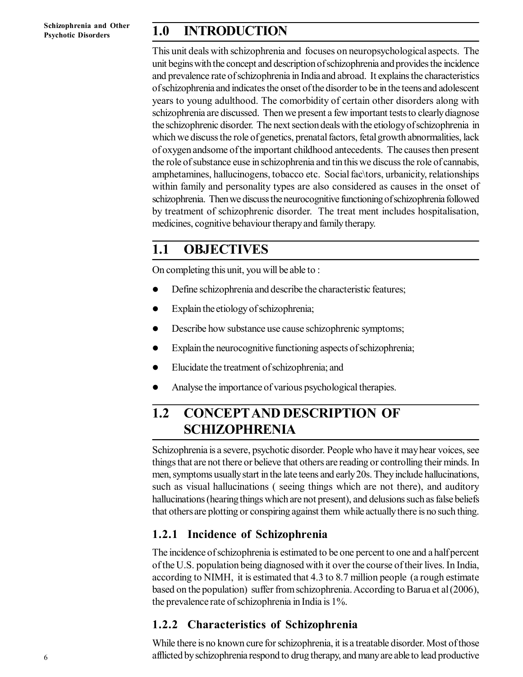## **1.0 INTRODUCTION**

This unit deals with schizophrenia and focuses on neuropsychological aspects. The unit begins with the concept and description of schizophrenia and provides the incidence and prevalence rate of schizophrenia in India and abroad. It explains the characteristics of schizophrenia and indicates the onset of the disorder to be in the teens and adolescent years to young adulthood. The comorbidity of certain other disorders along with schizophrenia are discussed. Then we present a few important tests to clearly diagnose the schizophrenic disorder. The next section deals with the etiology of schizophrenia in which we discuss the role of genetics, prenatal factors, fetal growth abnormalities, lack of oxygen andsome of the important childhood antecedents. The causes then present the role of substance euse in schizophrenia and tin this we discuss the role of cannabis, amphetamines, hallucinogens, tobacco etc. Social fac\tors, urbanicity, relationships within family and personality types are also considered as causes in the onset of schizophrenia. Then we discuss the neurocognitive functioning of schizophrenia followed by treatment of schizophrenic disorder. The treat ment includes hospitalisation, medicines, cognitive behaviour therapy and family therapy.

### **1.1 OBJECTIVES**

On completing this unit, you will be able to :

- Define schizophrenia and describe the characteristic features;
- Explain the etiology of schizophrenia;
- Describe how substance use cause schizophrenic symptoms;
- Explain the neurocognitive functioning aspects of schizophrenia;
- Elucidate the treatment of schizophrenia; and
- Analyse the importance of various psychological therapies.

# **1.2 CONCEPTAND DESCRIPTION OF SCHIZOPHRENIA**

Schizophrenia is a severe, psychotic disorder. People who have it may hear voices, see things that are not there or believe that others are reading or controlling their minds. In men, symptoms usually start in the late teens and early 20s. They include hallucinations, such as visual hallucinations ( seeing things which are not there), and auditory hallucinations (hearing things which are not present), and delusions such as false beliefs that others are plotting or conspiring against them while actually there is no such thing.

### **1.2.1 Incidence of Schizophrenia**

The incidence of schizophrenia is estimated to be one percent to one and a half percent of the U.S. population being diagnosed with it over the course of their lives. In India, according to NIMH, it is estimated that 4.3 to 8.7 million people (a rough estimate based on the population) suffer from schizophrenia. According to Barua et al (2006), the prevalence rate of schizophrenia in India is 1%.

### **1.2.2 Characteristics of Schizophrenia**

While there is no known cure for schizophrenia, it is a treatable disorder. Most of those afflicted by schizophrenia respond to drug therapy, and many are able to lead productive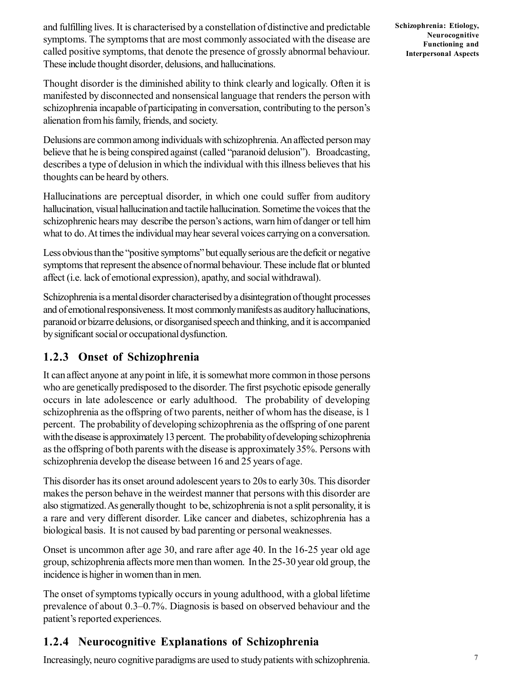and fulfilling lives. It is characterised by a constellation of distinctive and predictable symptoms. The symptoms that are most commonly associated with the disease are called positive symptoms, that denote the presence of grossly abnormal behaviour. These include thought disorder, delusions, and hallucinations.

Thought disorder is the diminished ability to think clearly and logically. Often it is manifested by disconnected and nonsensical language that renders the person with schizophrenia incapable of participating in conversation, contributing to the person's alienation from his family, friends, and society.

Delusions are common among individuals with schizophrenia. An affected person may believe that he is being conspired against (called "paranoid delusion"). Broadcasting, describes a type of delusion in which the individual with this illness believes that his thoughts can be heard by others.

Hallucinations are perceptual disorder, in which one could suffer from auditory hallucination, visual hallucination and tactile hallucination. Sometime the voices that the schizophrenic hears may describe the person's actions, warn him of danger or tell him what to do. At times the individual may hear several voices carrying on a conversation.

Less obvious than the "positive symptoms" but equally serious are the deficit or negative symptoms that represent the absence of normal behaviour. These include flat or blunted affect (i.e. lack of emotional expression), apathy, and social withdrawal).

Schizophrenia is a mental disorder characterised by a disintegration of thought processes and of emotional responsiveness. It most commonly manifests as auditory hallucinations, paranoid or bizarre delusions, or disorganised speech and thinking, and it is accompanied by significant social or occupational dysfunction.

### **1.2.3 Onset of Schizophrenia**

It can affect anyone at any point in life, it is somewhat more common in those persons who are genetically predisposed to the disorder. The first psychotic episode generally occurs in late adolescence or early adulthood. The probability of developing schizophrenia as the offspring of two parents, neither of whom has the disease, is 1 percent. The probability of developing schizophrenia as the offspring of one parent with the disease is approximately 13 percent. The probability of developing schizophrenia as the offspring of both parents with the disease is approximately 35%. Persons with schizophrenia develop the disease between 16 and 25 years of age.

This disorder has its onset around adolescent years to 20s to early 30s. This disorder makes the person behave in the weirdest manner that persons with this disorder are also stigmatized. As generally thought to be, schizophrenia is not a split personality, it is a rare and very different disorder. Like cancer and diabetes, schizophrenia has a biological basis. It is not caused by bad parenting or personal weaknesses.

Onset is uncommon after age 30, and rare after age 40. In the 16-25 year old age group, schizophrenia affects more men than women. In the 25-30 year old group, the incidence is higher in women than in men.

The onset of symptoms typically occurs in young adulthood, with a global lifetime prevalence of about 0.3–0.7%. Diagnosis is based on observed behaviour and the patient's reported experiences.

#### **1.2.4 Neurocognitive Explanations of Schizophrenia**

Increasingly, neuro cognitive paradigms are used to study patients with schizophrenia.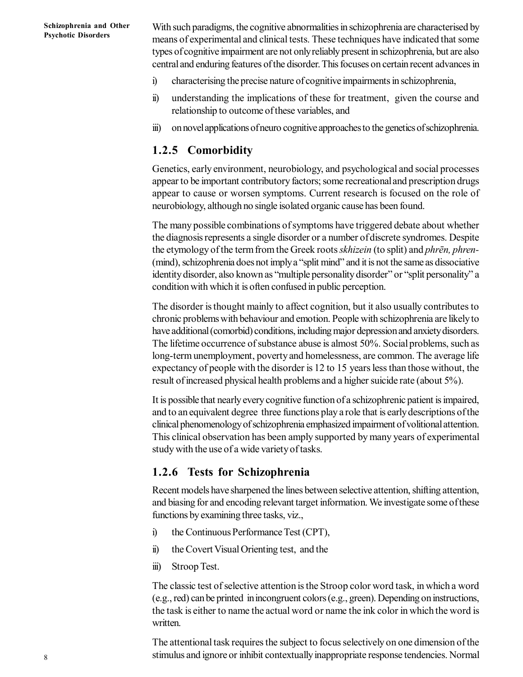With such paradigms, the cognitive abnormalities in schizophrenia are characterised by means of experimental and clinical tests. These techniques have indicated that some types of cognitive impairment are not only reliably present in schizophrenia, but are also central and enduring features of the disorder. This focuses on certain recent advances in

- i) characterising the precise nature of cognitive impairments in schizophrenia,
- ii) understanding the implications of these for treatment, given the course and relationship to outcome of these variables, and
- iii) on novel applications of neuro cognitive approaches to the genetics of schizophrenia.

#### **1.2.5 Comorbidity**

Genetics, early environment, neurobiology, and psychological and social processes appear to be important contributory factors; some recreational and prescription drugs appear to cause or worsen symptoms. Current research is focused on the role of neurobiology, although no single isolated organic cause has been found.

The many possible combinations of symptoms have triggered debate about whether the diagnosis represents a single disorder or a number of discrete syndromes. Despite the etymology of the term from the Greek roots *skhizein* (to split) and *phrēn, phren-* (mind), schizophrenia does not imply a "split mind" and it is not the same as dissociative identity disorder, also known as "multiple personality disorder" or "split personality" a condition with which it is often confused in public perception.

The disorder is thought mainly to affect cognition, but it also usually contributes to chronic problems with behaviour and emotion. People with schizophrenia are likely to have additional (comorbid) conditions, including major depression and anxiety disorders. The lifetime occurrence of substance abuse is almost 50%. Social problems, such as long-term unemployment, poverty and homelessness, are common. The average life expectancy of people with the disorder is 12 to 15 years less than those without, the result of increased physical health problems and a higher suicide rate (about 5%).

It is possible that nearly every cognitive function of a schizophrenic patient is impaired, and to an equivalent degree three functions play a role that is early descriptions of the clinical phenomenology of schizophrenia emphasized impairment of volitional attention. This clinical observation has been amply supported by many years of experimental study with the use of a wide variety of tasks.

#### **1.2.6 Tests for Schizophrenia**

Recent models have sharpened the lines between selective attention, shifting attention, and biasing for and encoding relevant target information. We investigate some of these functions by examining three tasks, viz.,

- i) the Continuous Performance Test (CPT),
- ii) the Covert Visual Orienting test, and the
- iii) Stroop Test.

The classic test of selective attention is the Stroop color word task, in which a word (e.g., red) can be printed in incongruent colors (e.g., green). Depending on instructions, the task is either to name the actual word or name the ink color in which the word is written.

The attentional task requires the subject to focus selectively on one dimension of the stimulus and ignore or inhibit contextually inappropriate response tendencies. Normal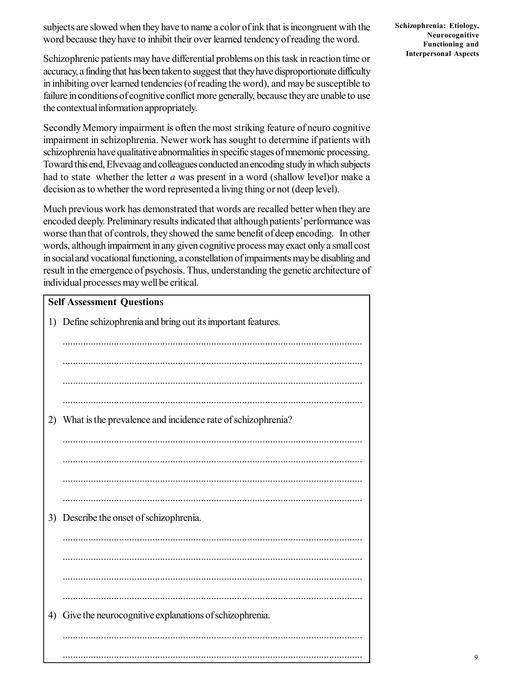subjects are slowed when they have to name a color of ink that is incongruent with the word because they have to inhibit their over learned tendency of reading the word.

Schizophrenic patients may have differential problems on this task in reaction time or accuracy, a finding that has been taken to suggest that they have disproportionate difficulty in inhibiting over learned tendencies (of reading the word), and may be susceptible to failure in conditions of cognitive conflict more generally, because they are unable to use the contextual information appropriately.

Secondly Memory impairment is often the most striking feature of neuro cognitive impairment in schizophrenia. Newer work has sought to determine if patients with schizophrenia have qualitative abnormalities in specific stages of mnemonic processing. Toward this end, Elvevaag and colleagues conducted an encoding study in which subjects had to state whether the letter *a* was present in a word (shallow level)or make a decision as to whether the word represented a living thing or not (deep level).

Much previous work has demonstrated that words are recalled better when they are encoded deeply. Preliminary results indicated that although patients' performance was worse than that of controls, they showed the same benefit of deep encoding. In other words, although impairment in any given cognitive process may exact only a small cost in social and vocational functioning, a constellation of impairments may be disabling and result in the emergence of psychosis. Thus, understanding the genetic architecture of individual processes may well be critical.

| <b>Self Assessment Questions</b> |                                                             |  |
|----------------------------------|-------------------------------------------------------------|--|
| 1)                               | Define schizophrenia and bring out its important features.  |  |
|                                  |                                                             |  |
|                                  |                                                             |  |
|                                  |                                                             |  |
|                                  |                                                             |  |
|                                  |                                                             |  |
| 2)                               | What is the prevalence and incidence rate of schizophrenia? |  |
|                                  |                                                             |  |
|                                  |                                                             |  |
|                                  |                                                             |  |
|                                  |                                                             |  |
|                                  |                                                             |  |
| 3)                               | Describe the onset of schizophrenia.                        |  |
|                                  |                                                             |  |
|                                  |                                                             |  |
|                                  |                                                             |  |
|                                  |                                                             |  |
|                                  |                                                             |  |
| 4)                               | Give the neurocognitive explanations of schizophrenia.      |  |
|                                  |                                                             |  |
|                                  |                                                             |  |
|                                  |                                                             |  |

**Schizophrenia: Etiology, Neurocognitive Functioning and Interpersonal Aspects**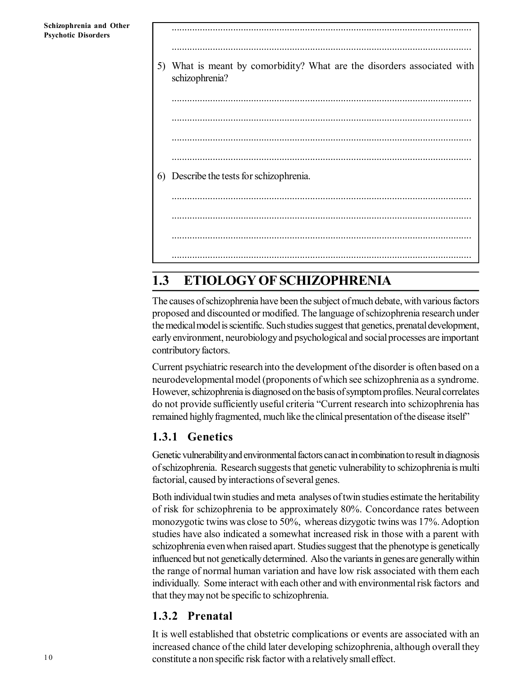..................................................................................................................... 5) What is meant by comorbidity? What are the disorders associated with schizophrenia? ..................................................................................................................... ..................................................................................................................... ..................................................................................................................... ..................................................................................................................... 6) Describe the tests for schizophrenia. ..................................................................................................................... ..................................................................................................................... ..................................................................................................................... .....................................................................................................................

.....................................................................................................................

# **1.3 ETIOLOGY OF SCHIZOPHRENIA**

The causes of schizophrenia have been the subject of much debate, with various factors proposed and discounted or modified. The language of schizophrenia research under the medical model is scientific. Such studies suggest that genetics, prenatal development, early environment, neurobiology and psychological and social processes are important contributory factors.

Current psychiatric research into the development of the disorder is often based on a neurodevelopmental model (proponents of which see schizophrenia as a syndrome. However, schizophrenia is diagnosed on the basis of symptom profiles. Neural correlates do not provide sufficiently useful criteria "Current research into schizophrenia has remained highly fragmented, much like the clinical presentation of the disease itself"

#### **1.3.1 Genetics**

Genetic vulnerability and environmental factors can act in combination to result in diagnosis of schizophrenia. Research suggests that genetic vulnerability to schizophrenia is multi factorial, caused by interactions of several genes.

Both individual twin studies and meta analyses of twin studies estimate the heritability of risk for schizophrenia to be approximately 80%. Concordance rates between monozygotic twins was close to 50%, whereas dizygotic twins was 17%. Adoption studies have also indicated a somewhat increased risk in those with a parent with schizophrenia even when raised apart. Studies suggest that the phenotype is genetically influenced but not genetically determined. Also the variants in genes are generally within the range of normal human variation and have low risk associated with them each individually. Some interact with each other and with environmental risk factors and that they may not be specific to schizophrenia.

#### **1.3.2 Prenatal**

It is well established that obstetric complications or events are associated with an increased chance of the child later developing schizophrenia, although overall they constitute a non specific risk factor with a relatively small effect.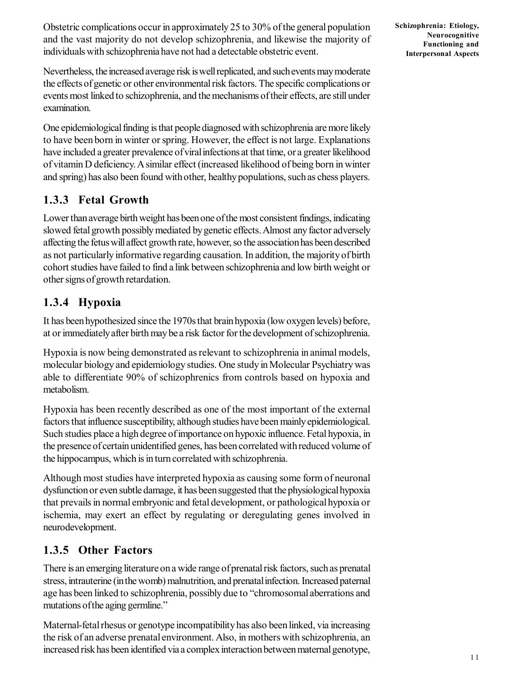Obstetric complications occur in approximately 25 to 30% of the general population and the vast majority do not develop schizophrenia, and likewise the majority of individuals with schizophrenia have not had a detectable obstetric event.

Nevertheless, the increased average risk is well replicated, and such events may moderate the effects of genetic or other environmental risk factors. The specific complications or events most linked to schizophrenia, and the mechanisms of their effects, are still under examination.

One epidemiological finding is that people diagnosed with schizophrenia are more likely to have been born in winter or spring. However, the effect is not large. Explanations have included a greater prevalence of viral infections at that time, or a greater likelihood of vitamin D deficiency. A similar effect (increased likelihood of being born in winter and spring) has also been found with other, healthy populations, such as chess players.

#### **1.3.3 Fetal Growth**

Lower than average birth weight has been one of the most consistent findings, indicating slowed fetal growth possibly mediated by genetic effects. Almost any factor adversely affecting the fetus will affect growth rate, however, so the association has been described as not particularly informative regarding causation. In addition, the majority of birth cohort studies have failed to find a link between schizophrenia and low birth weight or other signs of growth retardation.

#### **1.3.4 Hypoxia**

It has been hypothesized since the 1970s that brain hypoxia (low oxygen levels) before, at or immediately after birth may be a risk factor for the development of schizophrenia.

Hypoxia is now being demonstrated as relevant to schizophrenia in animal models, molecular biology and epidemiology studies. One study in Molecular Psychiatry was able to differentiate 90% of schizophrenics from controls based on hypoxia and metabolism.

Hypoxia has been recently described as one of the most important of the external factors that influence susceptibility, although studies have been mainly epidemiological. Such studies place a high degree of importance on hypoxic influence. Fetal hypoxia, in the presence of certain unidentified genes, has been correlated with reduced volume of the hippocampus, which is in turn correlated with schizophrenia.

Although most studies have interpreted hypoxia as causing some form of neuronal dysfunction or even subtle damage, it has been suggested that the physiological hypoxia that prevails in normal embryonic and fetal development, or pathological hypoxia or ischemia, may exert an effect by regulating or deregulating genes involved in neurodevelopment.

#### **1.3.5 Other Factors**

There is an emerging literature on a wide range of prenatal risk factors, such as prenatal stress, intrauterine (in the womb) malnutrition, and prenatal infection. Increased paternal age has been linked to schizophrenia, possibly due to "chromosomal aberrations and mutations of the aging germline."

Maternal-fetal rhesus or genotype incompatibility has also been linked, via increasing the risk of an adverse prenatal environment. Also, in mothers with schizophrenia, an increased risk has been identified via a complex interaction between maternal genotype,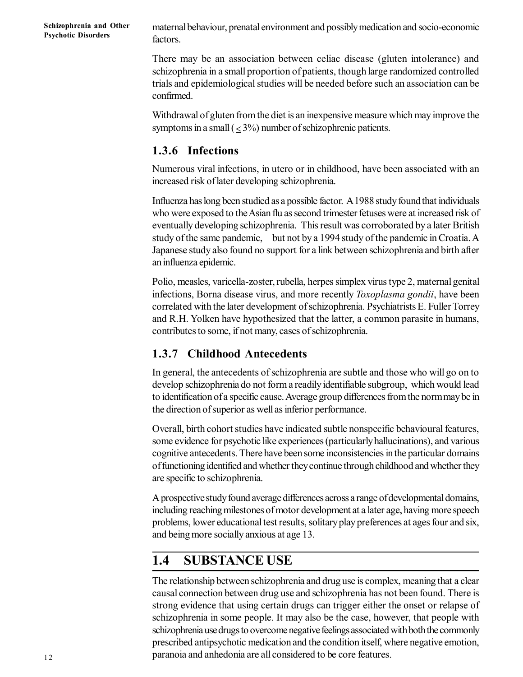**Schizophrenia and Other Psychotic Disorders**

maternal behaviour, prenatal environment and possibly medication and socio-economic factors.

There may be an association between celiac disease (gluten intolerance) and schizophrenia in a small proportion of patients, though large randomized controlled trials and epidemiological studies will be needed before such an association can be confirmed.

Withdrawal of gluten from the diet is an inexpensive measure which may improve the symptoms in a small  $\left($  < 3%) number of schizophrenic patients.

#### **1.3.6 Infections**

Numerous viral infections, in utero or in childhood, have been associated with an increased risk of later developing schizophrenia.

Influenza has long been studied as a possible factor. A 1988 study found that individuals who were exposed to the Asian flu as second trimester fetuses were at increased risk of eventually developing schizophrenia. This result was corroborated by a later British study of the same pandemic, but not by a 1994 study of the pandemic in Croatia. A Japanese study also found no support for a link between schizophrenia and birth after an influenza epidemic.

Polio, measles, varicella-zoster, rubella, herpes simplex virus type 2, maternal genital infections, Borna disease virus, and more recently *Toxoplasma gondii*, have been correlated with the later development of schizophrenia. Psychiatrists E. Fuller Torrey and R.H. Yolken have hypothesized that the latter, a common parasite in humans, contributes to some, if not many, cases of schizophrenia.

#### **1.3.7 Childhood Antecedents**

In general, the antecedents of schizophrenia are subtle and those who will go on to develop schizophrenia do not form a readily identifiable subgroup, which would lead to identification of a specific cause. Average group differences from the norm may be in the direction of superior as well as inferior performance.

Overall, birth cohort studies have indicated subtle nonspecific behavioural features, some evidence for psychotic like experiences (particularly hallucinations), and various cognitive antecedents. There have been some inconsistencies in the particular domains of functioning identified and whether they continue through childhood and whether they are specific to schizophrenia.

A prospective study found average differences across a range of developmental domains, including reaching milestones of motor development at a later age, having more speech problems, lower educational test results, solitary play preferences at ages four and six, and being more socially anxious at age 13.

### **1.4 SUBSTANCE USE**

The relationship between schizophrenia and drug use is complex, meaning that a clear causal connection between drug use and schizophrenia has not been found. There is strong evidence that using certain drugs can trigger either the onset or relapse of schizophrenia in some people. It may also be the case, however, that people with schizophrenia use drugs to overcome negative feelings associated with both the commonly prescribed antipsychotic medication and the condition itself, where negative emotion, paranoia and anhedonia are all considered to be core features.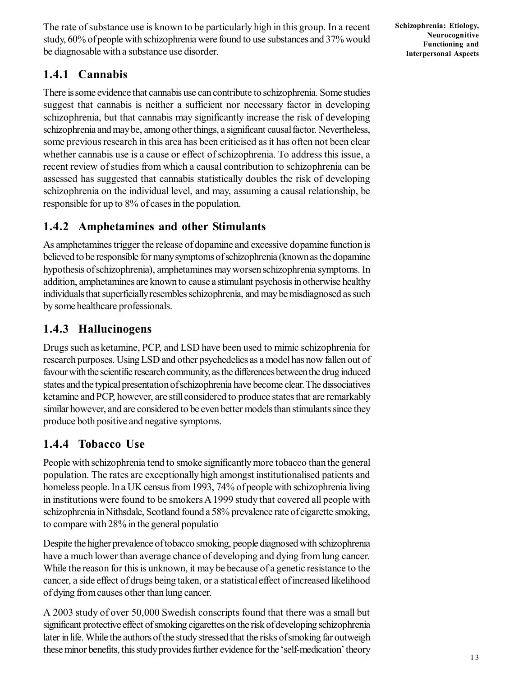The rate of substance use is known to be particularly high in this group. In a recent study, 60% of people with schizophrenia were found to use substances and 37% would be diagnosable with a substance use disorder.

#### **1.4.1 Cannabis**

There is some evidence that cannabis use can contribute to schizophrenia. Some studies suggest that cannabis is neither a sufficient nor necessary factor in developing schizophrenia, but that cannabis may significantly increase the risk of developing schizophrenia and may be, among other things, a significant causal factor. Nevertheless, some previous research in this area has been criticised as it has often not been clear whether cannabis use is a cause or effect of schizophrenia. To address this issue, a recent review of studies from which a causal contribution to schizophrenia can be assessed has suggested that cannabis statistically doubles the risk of developing schizophrenia on the individual level, and may, assuming a causal relationship, be responsible for up to 8% of cases in the population.

#### **1.4.2 Amphetamines and other Stimulants**

As amphetamines trigger the release of dopamine and excessive dopamine function is believed to be responsible for many symptoms of schizophrenia (known as the dopamine hypothesis of schizophrenia), amphetamines may worsen schizophrenia symptoms. In addition, amphetamines are known to cause a stimulant psychosis in otherwise healthy individuals that superficially resembles schizophrenia, and may be misdiagnosed as such by some healthcare professionals.

### **1.4.3 Hallucinogens**

Drugs such as ketamine, PCP, and LSD have been used to mimic schizophrenia for research purposes. Using LSD and other psychedelics as a model has now fallen out of favour with the scientific research community, as the differences between the drug induced states and the typical presentation of schizophrenia have become clear. The dissociatives ketamine and PCP, however, are still considered to produce states that are remarkably similar however, and are considered to be even better models than stimulants since they produce both positive and negative symptoms.

### **1.4.4 Tobacco Use**

People with schizophrenia tend to smoke significantly more tobacco than the general population. The rates are exceptionally high amongst institutionalised patients and homeless people. In a UK census from 1993, 74% of people with schizophrenia living in institutions were found to be smokers A 1999 study that covered all people with schizophrenia in Nithsdale, Scotland found a 58% prevalence rate of cigarette smoking, to compare with 28% in the general populatio

Despite the higher prevalence of tobacco smoking, people diagnosed with schizophrenia have a much lower than average chance of developing and dying from lung cancer. While the reason for this is unknown, it may be because of a genetic resistance to the cancer, a side effect of drugs being taken, or a statistical effect of increased likelihood of dying from causes other than lung cancer.

A 2003 study of over 50,000 Swedish conscripts found that there was a small but significant protective effect of smoking cigarettes on the risk of developing schizophrenia later in life. While the authors of the study stressed that the risks of smoking far outweigh these minor benefits, this study provides further evidence for the 'self-medication' theory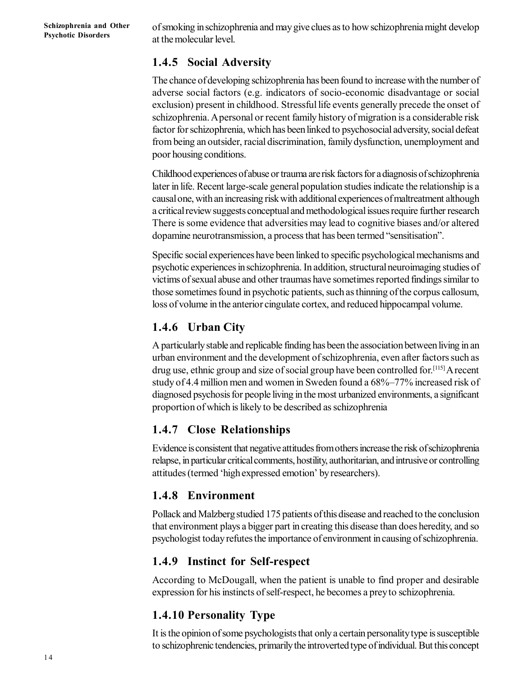**Schizophrenia and Other Psychotic Disorders**

of smoking in schizophrenia and may give clues as to how schizophrenia might develop at the molecular level.

#### **1.4.5 Social Adversity**

The chance of developing schizophrenia has been found to increase with the number of adverse social factors (e.g. indicators of socio-economic disadvantage or social exclusion) present in childhood. Stressful life events generally precede the onset of schizophrenia. A personal or recent family history of migration is a considerable risk factor for schizophrenia, which has been linked to psychosocial adversity, social defeat from being an outsider, racial discrimination, family dysfunction, unemployment and poor housing conditions.

Childhood experiences of abuse or trauma are risk factors for a diagnosis of schizophrenia later in life. Recent large-scale general population studies indicate the relationship is a causal one, with an increasing risk with additional experiences of maltreatment although a critical review suggests conceptual and methodological issues require further research There is some evidence that adversities may lead to cognitive biases and/or altered dopamine neurotransmission, a process that has been termed "sensitisation".

Specific social experiences have been linked to specific psychological mechanisms and psychotic experiences in schizophrenia. In addition, structural neuroimaging studies of victims of sexual abuse and other traumas have sometimes reported findings similar to those sometimes found in psychotic patients, such as thinning of the corpus callosum, loss of volume in the anterior cingulate cortex, and reduced hippocampal volume.

#### **1.4.6 Urban City**

A particularly stable and replicable finding has been the association between living in an urban environment and the development of schizophrenia, even after factors such as drug use, ethnic group and size of social group have been controlled for.[115] A recent study of 4.4 million men and women in Sweden found a 68%–77% increased risk of diagnosed psychosis for people living in the most urbanized environments, a significant proportion of which is likely to be described as schizophrenia

#### **1.4.7 Close Relationships**

Evidence is consistent that negative attitudes from others increase the risk of schizophrenia relapse, in particular critical comments, hostility, authoritarian, and intrusive or controlling attitudes (termed 'high expressed emotion' by researchers).

#### **1.4.8 Environment**

Pollack and Malzberg studied 175 patients of this disease and reached to the conclusion that environment plays a bigger part in creating this disease than does heredity, and so psychologist today refutes the importance of environment in causing of schizophrenia.

#### **1.4.9 Instinct for Self-respect**

According to McDougall, when the patient is unable to find proper and desirable expression for his instincts of self-respect, he becomes a prey to schizophrenia.

### **1.4.10 Personality Type**

It is the opinion of some psychologists that only a certain personality type is susceptible to schizophrenic tendencies, primarily the introverted type of individual. But this concept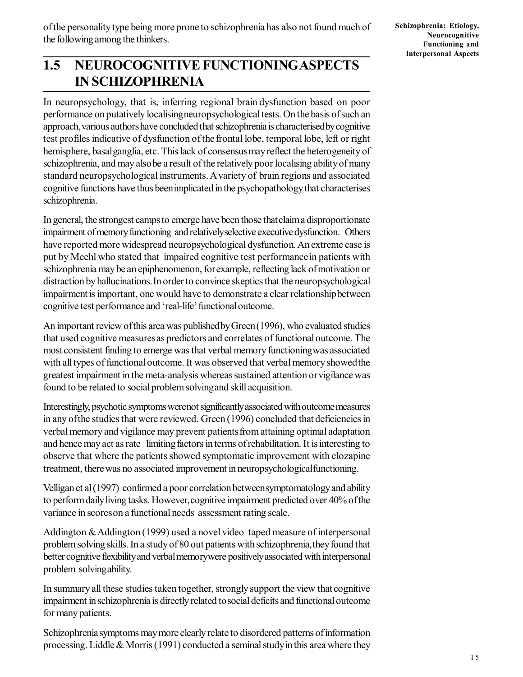## **1.5 NEUROCOGNITIVE FUNCTIONINGASPECTS IN SCHIZOPHRENIA**

In neuropsychology, that is, inferring regional brain dysfunction based on poor performance on putatively localisingneuropsychological tests. On the basis of such an approach,various authors have concluded that schizophrenia is characterisedby cognitive test profiles indicative of dysfunction of the frontal lobe, temporal lobe, left or right hemisphere, basalganglia, etc. This lack of consensusmay reflect the heterogeneity of schizophrenia, and may alsobe a result of the relatively poor localising ability of many standard neuropsychological instruments. A variety of brain regions and associated cognitive functions have thus beenimplicated in the psychopathology that characterises schizophrenia.

In general, the strongest camps to emerge have been those thatclaim a disproportionate impairment of memory functioning and relativelyselective executive dysfunction. Others have reported more widespread neuropsychological dysfunction. An extreme case is put by Meehl who stated that impaired cognitive test performancein patients with schizophrenia may be an epiphenomenon, forexample, reflecting lack of motivation or distraction by hallucinations. In order to convince skeptics that the neuropsychological impairmentis important, one would have to demonstrate a clear relationshipbetween cognitive test performance and 'real-life' functional outcome.

An important review of this area was publishedby Green (1996), who evaluated studies that used cognitive measuresas predictors and correlates of functional outcome. The most consistent finding to emerge was that verbal memory functioningwas associated with all types of functional outcome. It was observed that verbal memory showedthe greatest impairment in the meta-analysis whereas sustained attention orvigilance was found to be related to social problem solvingand skill acquisition.

Interestingly, psychotic symptoms werenot significantly associated with outcome measures in any ofthe studies that were reviewed. Green (1996) concluded that deficiencies in verbal memory and vigilance may prevent patientsfrom attaining optimal adaptation and hence may act as rate limiting factors in terms of rehabilitation. It is interesting to observe that where the patients showed symptomatic improvement with clozapine treatment, there was no associated improvement in neuropsychologicalfunctioning.

Velligan et al (1997) confirmed a poor correlation betweensymptomatology and ability to perform daily living tasks. However,cognitive impairment predicted over 40% of the variance in scoreson a functional needs assessment rating scale.

Addington &Addington (1999) used a novel video taped measure of interpersonal problem solving skills. In a study of 80 out patients with schizophrenia,they found that better cognitive flexibility and verbal memorywere positively associated with interpersonal problem solvingability.

In summary all these studies taken together, strongly support the view that cognitive impairment in schizophrenia is directly related tosocial deficits and functional outcome for many patients.

Schizophreniasymptoms may more clearly relate to disordered patterns of information processing. Liddle  $&$  Morris (1991) conducted a seminal study in this area where they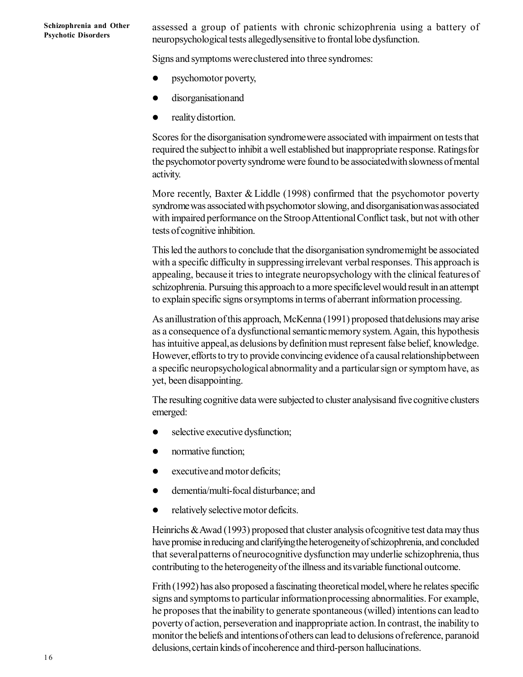assessed a group of patients with chronic schizophrenia using a battery of neuropsychological tests allegedlysensitive to frontal lobe dysfunction.

Signs and symptoms wereclustered into three syndromes:

- psychomotor poverty,
- **disorganisation and**
- **•** reality distortion.

Scores for the disorganisation syndromewere associated with impairment on tests that required the subjectto inhibit a well established but inappropriate response. Ratingsfor the psychomotor poverty syndrome were found to be associatedwith slowness of mental activity.

More recently, Baxter & Liddle (1998) confirmed that the psychomotor poverty syndromewas associated with psychomotor slowing, and disorganisationwas associated with impaired performance on the Stroop Attentional Conflict task, but not with other tests of cognitive inhibition.

This led the authors to conclude that the disorganisation syndromemight be associated with a specific difficulty in suppressingirrelevant verbal responses. This approach is appealing, becauseit tries to integrate neuropsychology with the clinical featuresof schizophrenia. Pursuing this approach to a more specificlevel would result in an attempt to explain specific signs orsymptoms in terms of aberrant information processing.

As anillustration of this approach, McKenna (1991) proposed thatdelusions may arise as a consequence of a dysfunctional semantic memory system. Again, this hypothesis has intuitive appeal,as delusions by definition must represent false belief, knowledge. However,efforts to try to provide convincing evidence of a causal relationshipbetween a specific neuropsychological abnormality and a particularsign or symptom have, as yet, been disappointing.

The resulting cognitive data were subjected to cluster analysisand five cognitive clusters emerged:

- selective executive dysfunction;
- normative function;
- executiveand motor deficits;
- dementia/multi-focal disturbance; and
- relatively selective motor deficits.

Heinrichs & Awad (1993) proposed that cluster analysis ofcognitive test data may thus have promise in reducing and clarifyingthe heterogeneity of schizophrenia, and concluded that severalpatterns of neurocognitive dysfunction may underlie schizophrenia,thus contributing to the heterogeneity of the illness and itsvariable functional outcome.

Frith (1992) has also proposed a fascinating theoretical model,where he relates specific signs and symptoms to particular informationprocessing abnormalities. For example, he proposes that the inability to generate spontaneous (willed) intentions can leadto poverty of action, perseveration and inappropriate action.In contrast, the inability to monitor the beliefs and intentionsof others can lead to delusions of reference, paranoid delusions, certain kinds of incoherence and third-person hallucinations.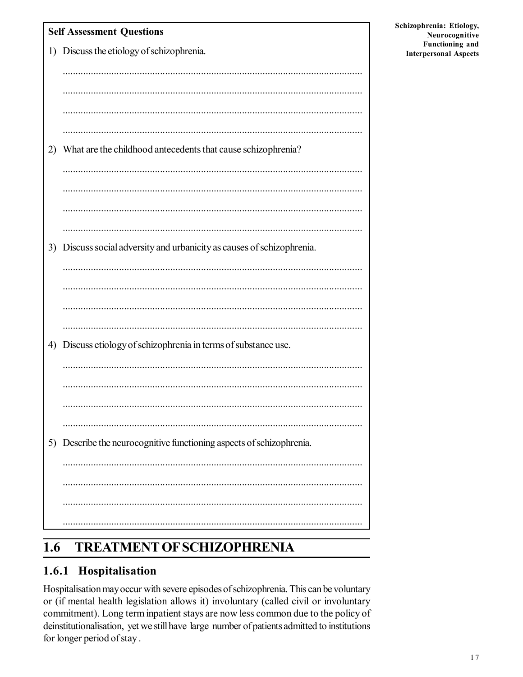| <b>Self Assessment Questions</b> |                                                                      |  |
|----------------------------------|----------------------------------------------------------------------|--|
|                                  | 1) Discuss the etiology of schizophrenia.                            |  |
|                                  |                                                                      |  |
|                                  |                                                                      |  |
|                                  |                                                                      |  |
|                                  |                                                                      |  |
| 2)                               | What are the childhood antecedents that cause schizophrenia?         |  |
|                                  |                                                                      |  |
|                                  |                                                                      |  |
|                                  |                                                                      |  |
|                                  |                                                                      |  |
| 3)                               | Discuss social adversity and urbanicity as causes of schizophrenia.  |  |
|                                  |                                                                      |  |
|                                  |                                                                      |  |
|                                  |                                                                      |  |
|                                  |                                                                      |  |
| 4)                               | Discuss etiology of schizophrenia in terms of substance use.         |  |
|                                  |                                                                      |  |
|                                  |                                                                      |  |
|                                  |                                                                      |  |
|                                  |                                                                      |  |
|                                  |                                                                      |  |
|                                  | 5) Describe the neurocognitive functioning aspects of schizophrenia. |  |
|                                  |                                                                      |  |
|                                  |                                                                      |  |
|                                  |                                                                      |  |
|                                  |                                                                      |  |

#### **TREATMENT OF SCHIZOPHRENIA**  $\overline{1.6}$

### 1.6.1 Hospitalisation

Hospitalisation may occur with severe episodes of schizophrenia. This can be voluntary or (if mental health legislation allows it) involuntary (called civil or involuntary commitment). Long term inpatient stays are now less common due to the policy of deinstitutionalisation, yet we still have large number of patients admitted to institutions for longer period of stay.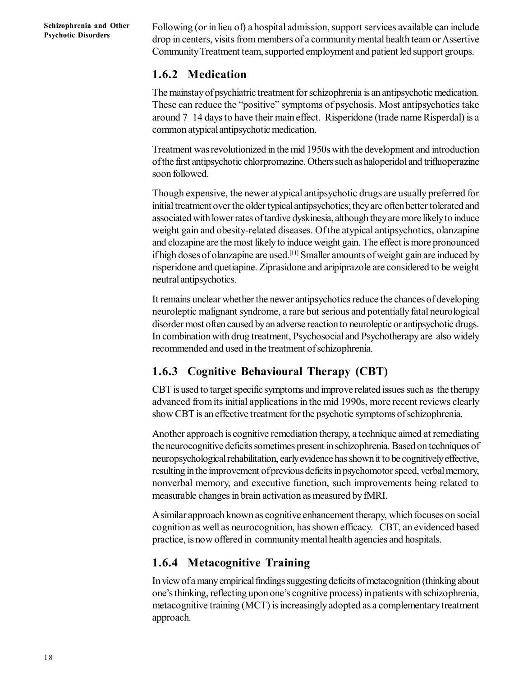Following (or in lieu of) a hospital admission, support services available can include drop in centers, visits from members of a community mental health team or Assertive Community Treatment team, supported employment and patient led support groups.

#### **1.6.2 Medication**

The mainstay of psychiatric treatment for schizophrenia is an antipsychotic medication. These can reduce the "positive" symptoms of psychosis. Most antipsychotics take around 7–14 days to have their main effect. Risperidone (trade name Risperdal) is a common atypical antipsychotic medication.

Treatment was revolutionized in the mid 1950s with the development and introduction of the first antipsychotic chlorpromazine. Others such as haloperidol and trifluoperazine soon followed.

Though expensive, the newer atypical antipsychotic drugs are usually preferred for initial treatment over the older typical antipsychotics; they are often better tolerated and associated with lower rates of tardive dyskinesia, although they are more likely to induce weight gain and obesity-related diseases. Of the atypical antipsychotics, olanzapine and clozapine are the most likely to induce weight gain. The effect is more pronounced if high doses of olanzapine are used.[11] Smaller amounts of weight gain are induced by risperidone and quetiapine. Ziprasidone and aripiprazole are considered to be weight neutral antipsychotics.

It remains unclear whether the newer antipsychotics reduce the chances of developing neuroleptic malignant syndrome, a rare but serious and potentially fatal neurological disorder most often caused by an adverse reaction to neuroleptic or antipsychotic drugs. In combination with drug treatment, Psychosocial and Psychotherapy are also widely recommended and used in the treatment of schizophrenia.

### **1.6.3 Cognitive Behavioural Therapy (CBT)**

CBT is used to target specific symptoms and improve related issues such as the therapy advanced from its initial applications in the mid 1990s, more recent reviews clearly show CBT is an effective treatment for the psychotic symptoms of schizophrenia.

Another approach is cognitive remediation therapy, a technique aimed at remediating the neurocognitive deficits sometimes present in schizophrenia. Based on techniques of neuropsychological rehabilitation, early evidence has shown it to be cognitively effective, resulting in the improvement of previous deficits in psychomotor speed, verbal memory, nonverbal memory, and executive function, such improvements being related to measurable changes in brain activation as measured by fMRI.

A similar approach known as cognitive enhancement therapy, which focuses on social cognition as well as neurocognition, has shown efficacy. CBT, an evidenced based practice, is now offered in community mental health agencies and hospitals.

### **1.6.4 Metacognitive Training**

In view of a many empirical findings suggesting deficits of metacognition (thinking about one's thinking, reflecting upon one's cognitive process) in patients with schizophrenia, metacognitive training (MCT) is increasingly adopted as a complementary treatment approach.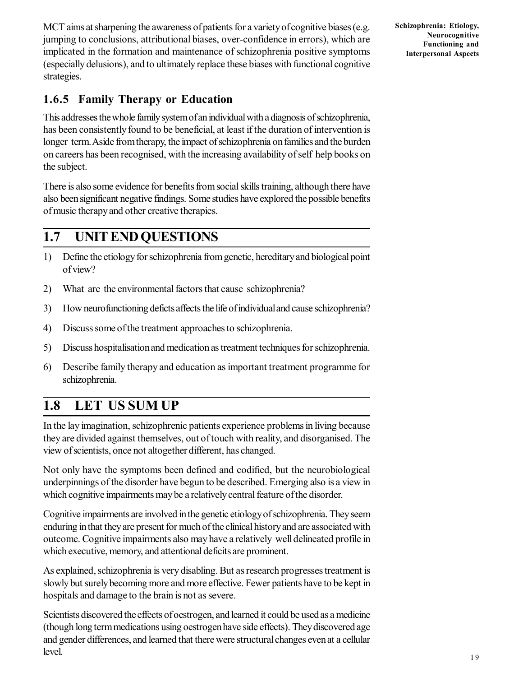MCT aims at sharpening the awareness of patients for a variety of cognitive biases (e.g. jumping to conclusions, attributional biases, over-confidence in errors), which are implicated in the formation and maintenance of schizophrenia positive symptoms (especially delusions), and to ultimately replace these biases with functional cognitive strategies.

**1.6.5 Family Therapy or Education**

This addresses the whole family system of an individual with a diagnosis of schizophrenia, has been consistently found to be beneficial, at least if the duration of intervention is longer term. Aside from therapy, the impact of schizophrenia on families and the burden on careers has been recognised, with the increasing availability of self help books on the subject.

There is also some evidence for benefits from social skills training, although there have also been significant negative findings. Some studies have explored the possible benefits of music therapy and other creative therapies.

# **1.7 UNIT END QUESTIONS**

- 1) Define the etiology for schizophrenia from genetic, hereditary and biological point of view?
- 2) What are the environmental factors that cause schizophrenia?
- 3) How neurofunctioning deficts affects the life of individual and cause schizophrenia?
- 4) Discuss some of the treatment approaches to schizophrenia.
- 5) Discuss hospitalisation and medication as treatment techniques for schizophrenia.
- 6) Describe family therapy and education as important treatment programme for schizophrenia.

# **1.8 LET US SUM UP**

In the lay imagination, schizophrenic patients experience problems in living because they are divided against themselves, out of touch with reality, and disorganised. The view of scientists, once not altogether different, has changed.

Not only have the symptoms been defined and codified, but the neurobiological underpinnings of the disorder have begun to be described. Emerging also is a view in which cognitive impairments may be a relatively central feature of the disorder.

Cognitive impairments are involved in the genetic etiology of schizophrenia. They seem enduring in that they are present for much of the clinical history and are associated with outcome. Cognitive impairments also may have a relatively well delineated profile in which executive, memory, and attentional deficits are prominent.

As explained, schizophrenia is very disabling. But as research progresses treatment is slowly but surely becoming more and more effective. Fewer patients have to be kept in hospitals and damage to the brain is not as severe.

Scientists discovered the effects of oestrogen, and learned it could be used as a medicine (though long term medications using oestrogen have side effects). They discovered age and gender differences, and learned that there were structural changes even at a cellular level.

**Schizophrenia: Etiology, Neurocognitive Functioning and Interpersonal Aspects**